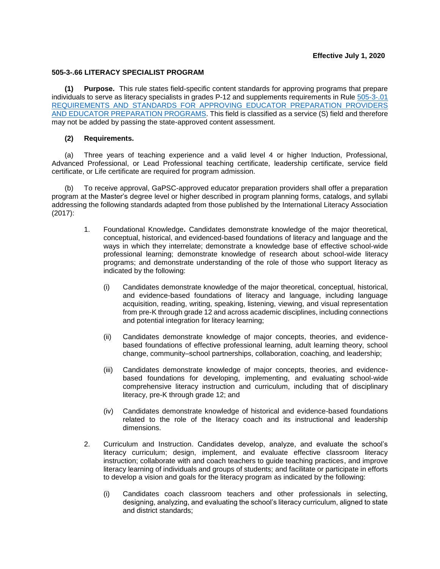## **505-3-.66 LITERACY SPECIALIST PROGRAM**

**(1) Purpose.** This rule states field-specific content standards for approving programs that prepare individuals to serve as literacy specialists in grades P-12 and supplements requirements in Rule [505-3-.01](https://www.gapsc.com/Rules/Current/EducatorPreparation/505-3-.01.pdf?dt=%3C%25#Eval()  [REQUIREMENTS AND STANDARDS FOR APPROVING EDUCATOR PREPARATION](https://www.gapsc.com/Rules/Current/EducatorPreparation/505-3-.01.pdf?dt=%3C%25#Eval() PROVIDERS [AND EDUCATOR PREPARATION PROGRAMS.](https://www.gapsc.com/Rules/Current/EducatorPreparation/505-3-.01.pdf?dt=%3C%25#Eval() This field is classified as a service (S) field and therefore may not be added by passing the state-approved content assessment.

## **(2) Requirements.**

(a) Three years of teaching experience and a valid level 4 or higher Induction, Professional, Advanced Professional, or Lead Professional teaching certificate, leadership certificate, service field certificate, or Life certificate are required for program admission.

(b) To receive approval, GaPSC-approved educator preparation providers shall offer a preparation program at the Master's degree level or higher described in program planning forms, catalogs, and syllabi addressing the following standards adapted from those published by the International Literacy Association (2017):

- 1. Foundational Knowledge**.** Candidates demonstrate knowledge of the major theoretical, conceptual, historical, and evidenced-based foundations of literacy and language and the ways in which they interrelate; demonstrate a knowledge base of effective school-wide professional learning; demonstrate knowledge of research about school-wide literacy programs; and demonstrate understanding of the role of those who support literacy as indicated by the following:
	- (i) Candidates demonstrate knowledge of the major theoretical, conceptual, historical, and evidence-based foundations of literacy and language, including language acquisition, reading, writing, speaking, listening, viewing, and visual representation from pre-K through grade 12 and across academic disciplines, including connections and potential integration for literacy learning;
	- (ii) Candidates demonstrate knowledge of major concepts, theories, and evidencebased foundations of effective professional learning, adult learning theory, school change, community–school partnerships, collaboration, coaching, and leadership;
	- (iii) Candidates demonstrate knowledge of major concepts, theories, and evidencebased foundations for developing, implementing, and evaluating school-wide comprehensive literacy instruction and curriculum, including that of disciplinary literacy, pre-K through grade 12; and
	- (iv) Candidates demonstrate knowledge of historical and evidence-based foundations related to the role of the literacy coach and its instructional and leadership dimensions.
- 2. Curriculum and Instruction. Candidates develop, analyze, and evaluate the school's literacy curriculum; design, implement, and evaluate effective classroom literacy instruction; collaborate with and coach teachers to guide teaching practices, and improve literacy learning of individuals and groups of students; and facilitate or participate in efforts to develop a vision and goals for the literacy program as indicated by the following:
	- (i) Candidates coach classroom teachers and other professionals in selecting, designing, analyzing, and evaluating the school's literacy curriculum, aligned to state and district standards;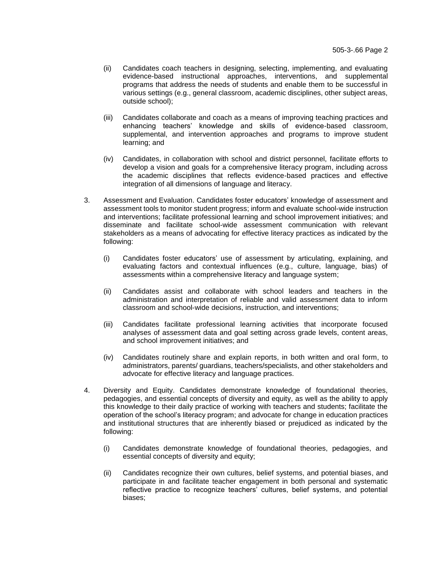- (ii) Candidates coach teachers in designing, selecting, implementing, and evaluating evidence-based instructional approaches, interventions, and supplemental programs that address the needs of students and enable them to be successful in various settings (e.g., general classroom, academic disciplines, other subject areas, outside school);
- (iii) Candidates collaborate and coach as a means of improving teaching practices and enhancing teachers' knowledge and skills of evidence-based classroom, supplemental, and intervention approaches and programs to improve student learning; and
- (iv) Candidates, in collaboration with school and district personnel, facilitate efforts to develop a vision and goals for a comprehensive literacy program, including across the academic disciplines that reflects evidence-based practices and effective integration of all dimensions of language and literacy.
- 3. Assessment and Evaluation. Candidates foster educators' knowledge of assessment and assessment tools to monitor student progress; inform and evaluate school-wide instruction and interventions; facilitate professional learning and school improvement initiatives; and disseminate and facilitate school-wide assessment communication with relevant stakeholders as a means of advocating for effective literacy practices as indicated by the following:
	- (i) Candidates foster educators' use of assessment by articulating, explaining, and evaluating factors and contextual influences (e.g., culture, language, bias) of assessments within a comprehensive literacy and language system;
	- (ii) Candidates assist and collaborate with school leaders and teachers in the administration and interpretation of reliable and valid assessment data to inform classroom and school-wide decisions, instruction, and interventions;
	- (iii) Candidates facilitate professional learning activities that incorporate focused analyses of assessment data and goal setting across grade levels, content areas, and school improvement initiatives; and
	- (iv) Candidates routinely share and explain reports, in both written and oral form, to administrators, parents/ guardians, teachers/specialists, and other stakeholders and advocate for effective literacy and language practices.
- 4. Diversity and Equity. Candidates demonstrate knowledge of foundational theories, pedagogies, and essential concepts of diversity and equity, as well as the ability to apply this knowledge to their daily practice of working with teachers and students; facilitate the operation of the school's literacy program; and advocate for change in education practices and institutional structures that are inherently biased or prejudiced as indicated by the following:
	- (i) Candidates demonstrate knowledge of foundational theories, pedagogies, and essential concepts of diversity and equity;
	- (ii) Candidates recognize their own cultures, belief systems, and potential biases, and participate in and facilitate teacher engagement in both personal and systematic reflective practice to recognize teachers' cultures, belief systems, and potential biases;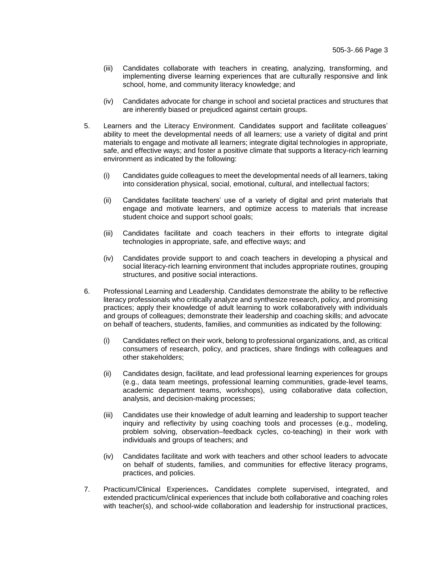- (iii) Candidates collaborate with teachers in creating, analyzing, transforming, and implementing diverse learning experiences that are culturally responsive and link school, home, and community literacy knowledge; and
- (iv) Candidates advocate for change in school and societal practices and structures that are inherently biased or prejudiced against certain groups.
- 5. Learners and the Literacy Environment. Candidates support and facilitate colleagues' ability to meet the developmental needs of all learners; use a variety of digital and print materials to engage and motivate all learners; integrate digital technologies in appropriate, safe, and effective ways; and foster a positive climate that supports a literacy-rich learning environment as indicated by the following:
	- (i) Candidates guide colleagues to meet the developmental needs of all learners, taking into consideration physical, social, emotional, cultural, and intellectual factors;
	- (ii) Candidates facilitate teachers' use of a variety of digital and print materials that engage and motivate learners, and optimize access to materials that increase student choice and support school goals;
	- (iii) Candidates facilitate and coach teachers in their efforts to integrate digital technologies in appropriate, safe, and effective ways; and
	- (iv) Candidates provide support to and coach teachers in developing a physical and social literacy-rich learning environment that includes appropriate routines, grouping structures, and positive social interactions.
- 6. Professional Learning and Leadership. Candidates demonstrate the ability to be reflective literacy professionals who critically analyze and synthesize research, policy, and promising practices; apply their knowledge of adult learning to work collaboratively with individuals and groups of colleagues; demonstrate their leadership and coaching skills; and advocate on behalf of teachers, students, families, and communities as indicated by the following:
	- (i) Candidates reflect on their work, belong to professional organizations, and, as critical consumers of research, policy, and practices, share findings with colleagues and other stakeholders;
	- (ii) Candidates design, facilitate, and lead professional learning experiences for groups (e.g., data team meetings, professional learning communities, grade-level teams, academic department teams, workshops), using collaborative data collection, analysis, and decision-making processes;
	- (iii) Candidates use their knowledge of adult learning and leadership to support teacher inquiry and reflectivity by using coaching tools and processes (e.g., modeling, problem solving, observation–feedback cycles, co-teaching) in their work with individuals and groups of teachers; and
	- (iv) Candidates facilitate and work with teachers and other school leaders to advocate on behalf of students, families, and communities for effective literacy programs, practices, and policies.
- 7. Practicum/Clinical Experiences**.** Candidates complete supervised, integrated, and extended practicum/clinical experiences that include both collaborative and coaching roles with teacher(s), and school-wide collaboration and leadership for instructional practices,